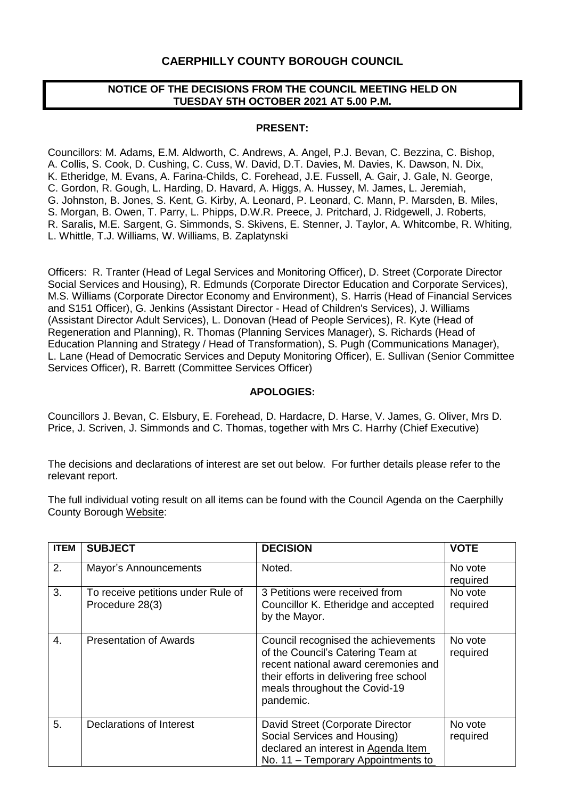## **CAERPHILLY COUNTY BOROUGH COUNCIL**

### **NOTICE OF THE DECISIONS FROM THE COUNCIL MEETING HELD ON TUESDAY 5TH OCTOBER 2021 AT 5.00 P.M.**

### **PRESENT:**

Councillors: M. Adams, E.M. Aldworth, C. Andrews, A. Angel, P.J. Bevan, C. Bezzina, C. Bishop, A. Collis, S. Cook, D. Cushing, C. Cuss, W. David, D.T. Davies, M. Davies, K. Dawson, N. Dix, K. Etheridge, M. Evans, A. Farina-Childs, C. Forehead, J.E. Fussell, A. Gair, J. Gale, N. George, C. Gordon, R. Gough, L. Harding, D. Havard, A. Higgs, A. Hussey, M. James, L. Jeremiah, G. Johnston, B. Jones, S. Kent, G. Kirby, A. Leonard, P. Leonard, C. Mann, P. Marsden, B. Miles, S. Morgan, B. Owen, T. Parry, L. Phipps, D.W.R. Preece, J. Pritchard, J. Ridgewell, J. Roberts, R. Saralis, M.E. Sargent, G. Simmonds, S. Skivens, E. Stenner, J. Taylor, A. Whitcombe, R. Whiting, L. Whittle, T.J. Williams, W. Williams, B. Zaplatynski

Officers: R. Tranter (Head of Legal Services and Monitoring Officer), D. Street (Corporate Director Social Services and Housing), R. Edmunds (Corporate Director Education and Corporate Services), M.S. Williams (Corporate Director Economy and Environment), S. Harris (Head of Financial Services and S151 Officer), G. Jenkins (Assistant Director - Head of Children's Services), J. Williams (Assistant Director Adult Services), L. Donovan (Head of People Services), R. Kyte (Head of Regeneration and Planning), R. Thomas (Planning Services Manager), S. Richards (Head of Education Planning and Strategy / Head of Transformation), S. Pugh (Communications Manager), L. Lane (Head of Democratic Services and Deputy Monitoring Officer), E. Sullivan (Senior Committee Services Officer), R. Barrett (Committee Services Officer)

### **APOLOGIES:**

Councillors J. Bevan, C. Elsbury, E. Forehead, D. Hardacre, D. Harse, V. James, G. Oliver, Mrs D. Price, J. Scriven, J. Simmonds and C. Thomas, together with Mrs C. Harrhy (Chief Executive)

The decisions and declarations of interest are set out below. For further details please refer to the relevant report.

The full individual voting result on all items can be found with the Council Agenda on the Caerphilly County Borough [Website:](https://www.caerphilly.gov.uk/My-Council/Meetings,-agendas,-minutes-and-reports)

| <b>ITEM</b> | <b>SUBJECT</b>                                        | <b>DECISION</b>                                                                                                                                                                                           | <b>VOTE</b>         |
|-------------|-------------------------------------------------------|-----------------------------------------------------------------------------------------------------------------------------------------------------------------------------------------------------------|---------------------|
| 2.          | Mayor's Announcements                                 | Noted.                                                                                                                                                                                                    | No vote<br>required |
| 3.          | To receive petitions under Rule of<br>Procedure 28(3) | 3 Petitions were received from<br>Councillor K. Etheridge and accepted<br>by the Mayor.                                                                                                                   | No vote<br>required |
| 4.          | <b>Presentation of Awards</b>                         | Council recognised the achievements<br>of the Council's Catering Team at<br>recent national award ceremonies and<br>their efforts in delivering free school<br>meals throughout the Covid-19<br>pandemic. | No vote<br>required |
| 5.          | Declarations of Interest                              | David Street (Corporate Director<br>Social Services and Housing)<br>declared an interest in Agenda Item<br>No. 11 – Temporary Appointments to                                                             | No vote<br>required |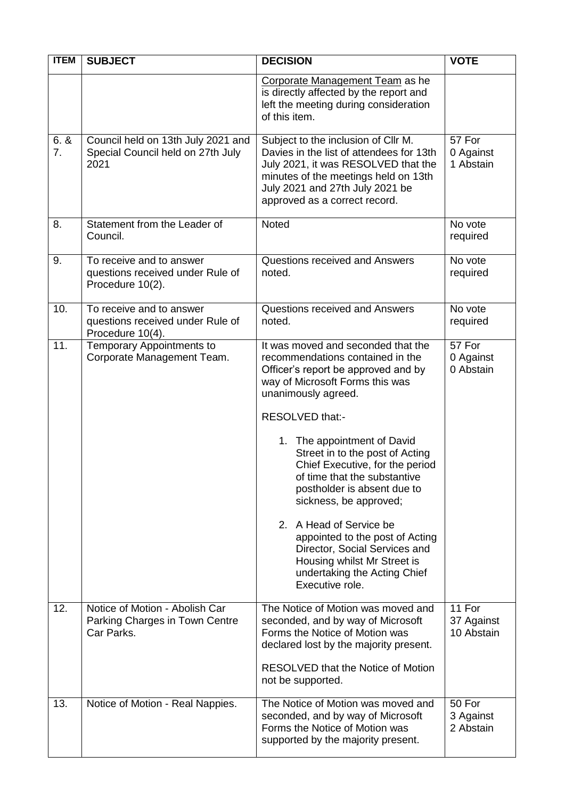| <b>ITEM</b> | <b>SUBJECT</b>                                                                   | <b>DECISION</b>                                                                                                                                                                                                                                                                                                                                                                                                                                                                                                                                                           | <b>VOTE</b>                        |
|-------------|----------------------------------------------------------------------------------|---------------------------------------------------------------------------------------------------------------------------------------------------------------------------------------------------------------------------------------------------------------------------------------------------------------------------------------------------------------------------------------------------------------------------------------------------------------------------------------------------------------------------------------------------------------------------|------------------------------------|
|             |                                                                                  | Corporate Management Team as he<br>is directly affected by the report and<br>left the meeting during consideration<br>of this item.                                                                                                                                                                                                                                                                                                                                                                                                                                       |                                    |
| 6.8<br>7.   | Council held on 13th July 2021 and<br>Special Council held on 27th July<br>2021  | Subject to the inclusion of Cllr M.<br>Davies in the list of attendees for 13th<br>July 2021, it was RESOLVED that the<br>minutes of the meetings held on 13th<br>July 2021 and 27th July 2021 be<br>approved as a correct record.                                                                                                                                                                                                                                                                                                                                        | 57 For<br>0 Against<br>1 Abstain   |
| 8.          | Statement from the Leader of<br>Council.                                         | Noted                                                                                                                                                                                                                                                                                                                                                                                                                                                                                                                                                                     | No vote<br>required                |
| 9.          | To receive and to answer<br>questions received under Rule of<br>Procedure 10(2). | Questions received and Answers<br>noted.                                                                                                                                                                                                                                                                                                                                                                                                                                                                                                                                  | No vote<br>required                |
| 10.         | To receive and to answer<br>questions received under Rule of<br>Procedure 10(4). | Questions received and Answers<br>noted.                                                                                                                                                                                                                                                                                                                                                                                                                                                                                                                                  | No vote<br>required                |
| 11.         | <b>Temporary Appointments to</b><br>Corporate Management Team.                   | It was moved and seconded that the<br>recommendations contained in the<br>Officer's report be approved and by<br>way of Microsoft Forms this was<br>unanimously agreed.<br>RESOLVED that:-<br>1. The appointment of David<br>Street in to the post of Acting<br>Chief Executive, for the period<br>of time that the substantive<br>postholder is absent due to<br>sickness, be approved;<br>2. A Head of Service be<br>appointed to the post of Acting<br>Director, Social Services and<br>Housing whilst Mr Street is<br>undertaking the Acting Chief<br>Executive role. | 57 For<br>0 Against<br>0 Abstain   |
| 12.         | Notice of Motion - Abolish Car<br>Parking Charges in Town Centre<br>Car Parks.   | The Notice of Motion was moved and<br>seconded, and by way of Microsoft<br>Forms the Notice of Motion was<br>declared lost by the majority present.<br><b>RESOLVED that the Notice of Motion</b><br>not be supported.                                                                                                                                                                                                                                                                                                                                                     | 11 For<br>37 Against<br>10 Abstain |
| 13.         | Notice of Motion - Real Nappies.                                                 | The Notice of Motion was moved and<br>seconded, and by way of Microsoft<br>Forms the Notice of Motion was<br>supported by the majority present.                                                                                                                                                                                                                                                                                                                                                                                                                           | 50 For<br>3 Against<br>2 Abstain   |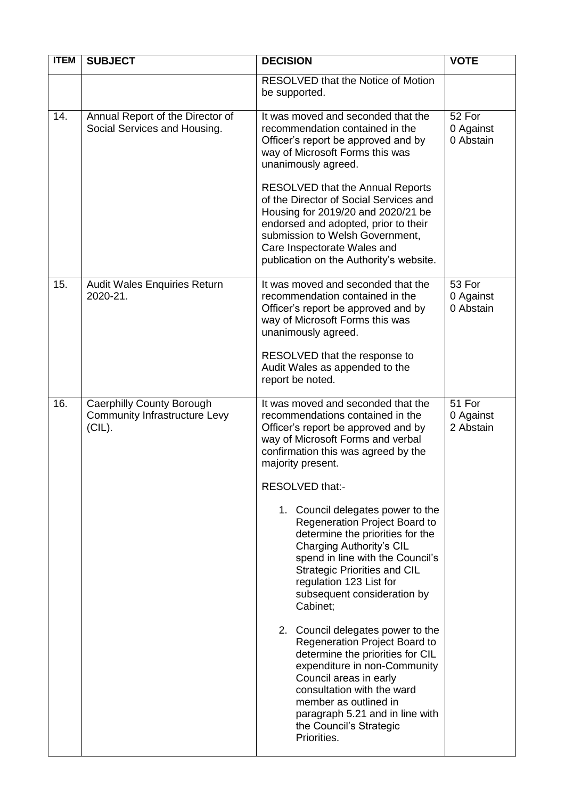| <b>ITEM</b> | <b>SUBJECT</b>                                                                 | <b>DECISION</b>                                                                                                                                                                                                                                                                                                                                                                                                                                                                                                                                                                                                                                                                                                                                                                                                                  | <b>VOTE</b>                      |
|-------------|--------------------------------------------------------------------------------|----------------------------------------------------------------------------------------------------------------------------------------------------------------------------------------------------------------------------------------------------------------------------------------------------------------------------------------------------------------------------------------------------------------------------------------------------------------------------------------------------------------------------------------------------------------------------------------------------------------------------------------------------------------------------------------------------------------------------------------------------------------------------------------------------------------------------------|----------------------------------|
|             |                                                                                | RESOLVED that the Notice of Motion<br>be supported.                                                                                                                                                                                                                                                                                                                                                                                                                                                                                                                                                                                                                                                                                                                                                                              |                                  |
| 14.         | Annual Report of the Director of<br>Social Services and Housing.               | It was moved and seconded that the<br>recommendation contained in the<br>Officer's report be approved and by<br>way of Microsoft Forms this was<br>unanimously agreed.<br><b>RESOLVED that the Annual Reports</b><br>of the Director of Social Services and<br>Housing for 2019/20 and 2020/21 be<br>endorsed and adopted, prior to their<br>submission to Welsh Government,<br>Care Inspectorate Wales and<br>publication on the Authority's website.                                                                                                                                                                                                                                                                                                                                                                           | 52 For<br>0 Against<br>0 Abstain |
| 15.         | Audit Wales Enquiries Return<br>2020-21.                                       | It was moved and seconded that the<br>recommendation contained in the<br>Officer's report be approved and by<br>way of Microsoft Forms this was<br>unanimously agreed.<br>RESOLVED that the response to<br>Audit Wales as appended to the<br>report be noted.                                                                                                                                                                                                                                                                                                                                                                                                                                                                                                                                                                    | 53 For<br>0 Against<br>0 Abstain |
| 16.         | Caerphilly County Borough<br><b>Community Infrastructure Levy</b><br>$(CIL)$ . | It was moved and seconded that the<br>recommendations contained in the<br>Officer's report be approved and by<br>way of Microsoft Forms and verbal<br>confirmation this was agreed by the<br>majority present.<br>RESOLVED that:-<br>1. Council delegates power to the<br>Regeneration Project Board to<br>determine the priorities for the<br>Charging Authority's CIL<br>spend in line with the Council's<br><b>Strategic Priorities and CIL</b><br>regulation 123 List for<br>subsequent consideration by<br>Cabinet;<br>2. Council delegates power to the<br>Regeneration Project Board to<br>determine the priorities for CIL<br>expenditure in non-Community<br>Council areas in early<br>consultation with the ward<br>member as outlined in<br>paragraph 5.21 and in line with<br>the Council's Strategic<br>Priorities. | 51 For<br>0 Against<br>2 Abstain |